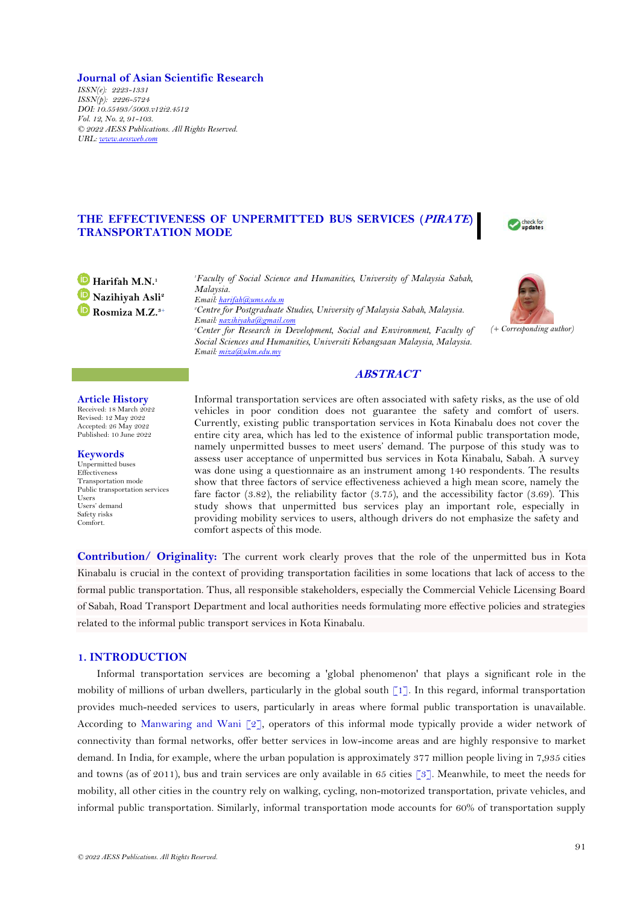### **Journal of Asian Scientific Research**

*ISSN(e): 2223-1331 ISSN(p): 2226-5724 DOI: 10.55493/5003.v12i2.4512 Vol. 12, No. 2, 91-103. © 2022 AESS Publications. All Rights Reserved. URL: [www.aessweb.com](http://www.aessweb.com/)*

# **THE EFFECTIVENESS OF UNPERMITTED BUS SERVICES (PIRATE) TRANSPORTATION MODE**

check for update:



*<sup>1</sup>Faculty of Social Science and Humanities, University of Malaysia Sabah, Malaysia. Email[: harifah@ums.edu.m](mailto:harifah@ums.edu.m) <sup>2</sup>Centre for Postgraduate Studies, University of Malaysia Sabah, Malaysia. Email[: nazihiyaha@gmail.com](mailto:nazihiyaha@gmail.com) <sup>3</sup>Center for Research in Development, Social and Environment, Faculty of Social Sciences and Humanities, Universiti Kebangsaan Malaysia, Malaysia. Email[: miza@ukm.edu.my](mailto:miza@ukm.edu.my)*



### **Article History**

Received: 18 March 2022 Revised: 12 May 2022 Accepted: 26 May 2022 Published: 10 June 2022

**Keywords**

Unpermitted buses Effectiveness Transportation mode Public transportation services Users Users' demand Safety risks Comfort.

Informal transportation services are often associated with safety risks, as the use of old vehicles in poor condition does not guarantee the safety and comfort of users. Currently, existing public transportation services in Kota Kinabalu does not cover the entire city area, which has led to the existence of informal public transportation mode, namely unpermitted busses to meet users' demand. The purpose of this study was to assess user acceptance of unpermitted bus services in Kota Kinabalu, Sabah. A survey was done using a questionnaire as an instrument among 140 respondents. The results show that three factors of service effectiveness achieved a high mean score, namely the fare factor (3.82), the reliability factor (3.75), and the accessibility factor (3.69). This study shows that unpermitted bus services play an important role, especially in providing mobility services to users, although drivers do not emphasize the safety and comfort aspects of this mode.

**ABSTRACT**

**Contribution/ Originality:** The current work clearly proves that the role of the unpermitted bus in Kota Kinabalu is crucial in the context of providing transportation facilities in some locations that lack of access to the formal public transportation. Thus, all responsible stakeholders, especially the Commercial Vehicle Licensing Board of Sabah, Road Transport Department and local authorities needs formulating more effective policies and strategies related to the informal public transport services in Kota Kinabalu.

## **1. INTRODUCTION**

Informal transportation services are becoming a 'global phenomenon' that plays a significant role in the mobility of millions of urban dwellers, particularly in the global south  $\lceil 1 \rceil$ . In this regard, informal transportation provides much-needed services to users, particularly in areas where formal public transportation is unavailable. According to Manwaring [and Wani \[2\]](#page-11-0), operators of this informal mode typically provide a wider network of connectivity than formal networks, offer better services in low-income areas and are highly responsive to market demand. In India, for example, where the urban population is approximately 377 million people living in 7,935 cities and towns (as of 2011), bus and train services are only available in 65 cities [\[3\]](#page-11-1). Meanwhile, to meet the needs for mobility, all other cities in the country rely on walking, cycling, non-motorized transportation, private vehicles, and informal public transportation. Similarly, informal transportation mode accounts for 60% of transportation supply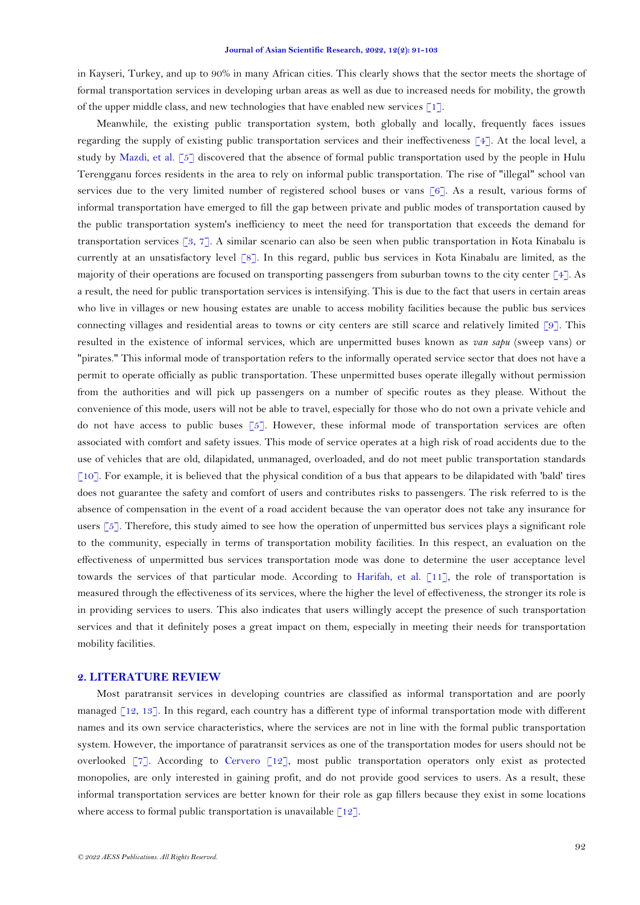in Kayseri, Turkey, and up to 90% in many African cities. This clearly shows that the sector meets the shortage of formal transportation services in developing urban areas as well as due to increased needs for mobility, the growth of the upper middle class, and new technologies that have enabled new services  $\lceil 1 \rceil$ .

Meanwhile, the existing public transportation system, both globally and locally, frequently faces issues regarding the supply of existing public transportation services and their ineffectiveness [\[4\]](#page-11-2). At the local level, a study by [Mazdi, et al. \[5\]](#page-11-3) discovered that the absence of formal public transportation used by the people in Hulu Terengganu forces residents in the area to rely on informal public transportation. The rise of "illegal" school van services due to the very limited number of registered school buses or vans [\[6\]](#page-11-4). As a result, various forms of informal transportation have emerged to fill the gap between private and public modes of transportation caused by the public transportation system's inefficiency to meet the need for transportation that exceeds the demand for transportation services [\[3,](#page-11-1) [7\]](#page-11-5). A similar scenario can also be seen when public transportation in Kota Kinabalu is currently at an unsatisfactory level [\[8\]](#page-11-6). In this regard, public bus services in Kota Kinabalu are limited, as the majority of their operations are focused on transporting passengers from suburban towns to the city center [\[4\]](#page-11-2). As a result, the need for public transportation services is intensifying. This is due to the fact that users in certain areas who live in villages or new housing estates are unable to access mobility facilities because the public bus services connecting villages and residential areas to towns or city centers are still scarce and relatively limited [\[9\]](#page-11-7). This resulted in the existence of informal services, which are unpermitted buses known as *van sapu* (sweep vans) or "pirates." This informal mode of transportation refers to the informally operated service sector that does not have a permit to operate officially as public transportation. These unpermitted buses operate illegally without permission from the authorities and will pick up passengers on a number of specific routes as they please. Without the convenience of this mode, users will not be able to travel, especially for those who do not own a private vehicle and do not have access to public buses  $\lceil 5 \rceil$ . However, these informal mode of transportation services are often associated with comfort and safety issues. This mode of service operates at a high risk of road accidents due to the use of vehicles that are old, dilapidated, unmanaged, overloaded, and do not meet public transportation standards [\[10\]](#page-11-8). For example, it is believed that the physical condition of a bus that appears to be dilapidated with 'bald' tires does not guarantee the safety and comfort of users and contributes risks to passengers. The risk referred to is the absence of compensation in the event of a road accident because the van operator does not take any insurance for users  $\lceil 5 \rceil$ . Therefore, this study aimed to see how the operation of unpermitted bus services plays a significant role to the community, especially in terms of transportation mobility facilities. In this respect, an evaluation on the effectiveness of unpermitted bus services transportation mode was done to determine the user acceptance level towards the services of that particular mode. According to [Harifah, et al. \[11\]](#page-11-9), the role of transportation is measured through the effectiveness of its services, where the higher the level of effectiveness, the stronger its role is in providing services to users. This also indicates that users willingly accept the presence of such transportation services and that it definitely poses a great impact on them, especially in meeting their needs for transportation mobility facilities.

## **2. LITERATURE REVIEW**

Most paratransit services in developing countries are classified as informal transportation and are poorly managed [\[12,](#page-11-10) [13\]](#page-11-11). In this regard, each country has a different type of informal transportation mode with different names and its own service characteristics, where the services are not in line with the formal public transportation system. However, the importance of paratransit services as one of the transportation modes for users should not be overlooked [\[7\]](#page-11-5). According to [Cervero \[12\]](#page-11-10), most public transportation operators only exist as protected monopolies, are only interested in gaining profit, and do not provide good services to users. As a result, these informal transportation services are better known for their role as gap fillers because they exist in some locations where access to formal public transportation is unavailable  $\lceil 12 \rceil$ .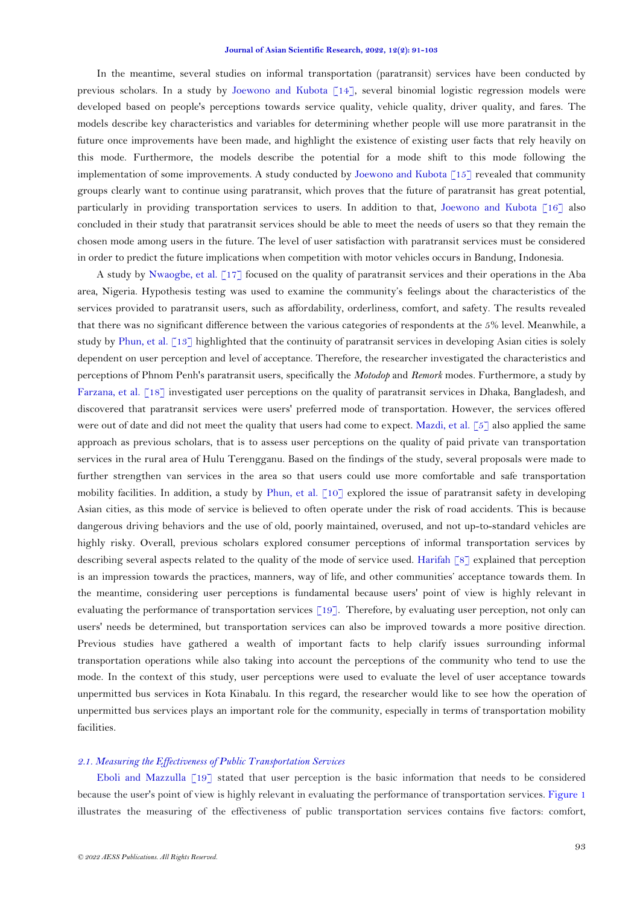In the meantime, several studies on informal transportation (paratransit) services have been conducted by previous scholars. In a study by [Joewono and Kubota \[14\]](#page-11-12), several binomial logistic regression models were developed based on people's perceptions towards service quality, vehicle quality, driver quality, and fares. The models describe key characteristics and variables for determining whether people will use more paratransit in the future once improvements have been made, and highlight the existence of existing user facts that rely heavily on this mode. Furthermore, the models describe the potential for a mode shift to this mode following the implementation of some improvements. A study conducted by [Joewono and Kubota \[15\]](#page-11-13) revealed that community groups clearly want to continue using paratransit, which proves that the future of paratransit has great potential, particularly in providing transportation services to users. In addition to that, [Joewono and Kubota \[16\]](#page-11-14) also concluded in their study that paratransit services should be able to meet the needs of users so that they remain the chosen mode among users in the future. The level of user satisfaction with paratransit services must be considered in order to predict the future implications when competition with motor vehicles occurs in Bandung, Indonesia.

A study by [Nwaogbe, et](#page-11-15) al. [17] focused on the quality of paratransit services and their operations in the Aba area, Nigeria. Hypothesis testing was used to examine the community's feelings about the characteristics of the services provided to paratransit users, such as affordability, orderliness, comfort, and safety. The results revealed that there was no significant difference between the various categories of respondents at the 5% level. Meanwhile, a study by [Phun, et al. \[13\]](#page-11-11) highlighted that the continuity of paratransit services in developing Asian cities is solely dependent on user perception and level of acceptance. Therefore, the researcher investigated the characteristics and perceptions of Phnom Penh's paratransit users, specifically the *Motodop* and *Remork* modes. Furthermore, a study by [Farzana, et al. \[18\]](#page-11-16) investigated user perceptions on the quality of paratransit services in Dhaka, Bangladesh, and discovered that paratransit services were users' preferred mode of transportation. However, the services offered were out of date and did not meet the quality that users had come to expect. [Mazdi, et al. \[5\]](#page-11-3) also applied the same approach as previous scholars, that is to assess user perceptions on the quality of paid private van transportation services in the rural area of Hulu Terengganu. Based on the findings of the study, several proposals were made to further strengthen van services in the area so that users could use more comfortable and safe transportation mobility facilities. In addition, a study by [Phun, et al. \[10\]](#page-11-8) explored the issue of paratransit safety in developing Asian cities, as this mode of service is believed to often operate under the risk of road accidents. This is because dangerous driving behaviors and the use of old, poorly maintained, overused, and not up-to-standard vehicles are highly risky. Overall, previous scholars explored consumer perceptions of informal transportation services by describing several aspects related to the quality of the mode of service used. [Harifah \[8\]](#page-11-6) explained that perception is an impression towards the practices, manners, way of life, and other communities' acceptance towards them. In the meantime, considering user perceptions is fundamental because users' point of view is highly relevant in evaluating the performance of transportation services [\[19\]](#page-11-17). Therefore, by evaluating user perception, not only can users' needs be determined, but transportation services can also be improved towards a more positive direction. Previous studies have gathered a wealth of important facts to help clarify issues surrounding informal transportation operations while also taking into account the perceptions of the community who tend to use the mode. In the context of this study, user perceptions were used to evaluate the level of user acceptance towards unpermitted bus services in Kota Kinabalu. In this regard, the researcher would like to see how the operation of unpermitted bus services plays an important role for the community, especially in terms of transportation mobility facilities.

### *2.1. Measuring the Effectiveness of Public Transportation Services*

Eboli and Mazzulla  $\lceil 19 \rceil$  stated that user perception is the basic information that needs to be considered because the user's point of view is highly relevant in evaluating the performance of transportation services. [Figure 1](#page-3-0) illustrates the measuring of the effectiveness of public transportation services contains five factors: comfort,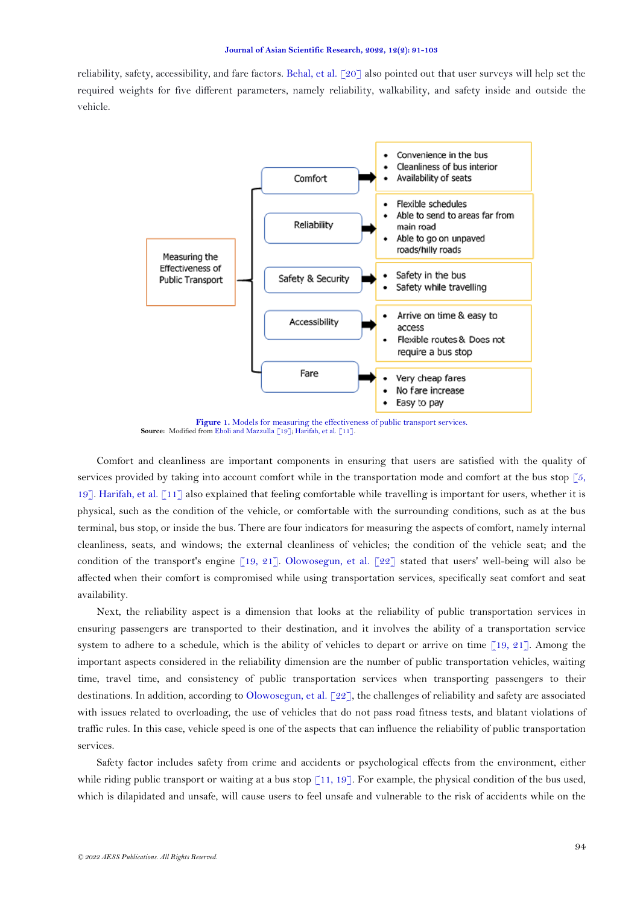reliability, safety, accessibility, and fare factors. [Behal, et al. \[20\]](#page-12-0) also pointed out that user surveys will help set the required weights for five different parameters, namely reliability, walkability, and safety inside and outside the vehicle.



Figure 1. Models for measuring the effectiveness of public transport services. **Source:** Modified fro[m Eboli and Mazzulla](#page-11-17) [19][; Harifah, et al. \[11\]](#page-11-9).

<span id="page-3-0"></span>Comfort and cleanliness are important components in ensuring that users are satisfied with the quality of services provided by taking into account comfort while in the transportation mode and comfort at the bus stop  $\lceil 5$ , [19\]](#page-11-17). [Harifah, et al. \[11\]](#page-11-9) also explained that feeling comfortable while travelling is important for users, whether it is physical, such as the condition of the vehicle, or comfortable with the surrounding conditions, such as at the bus terminal, bus stop, or inside the bus. There are four indicators for measuring the aspects of comfort, namely internal cleanliness, seats, and windows; the external cleanliness of vehicles; the condition of the vehicle seat; and the condition of the transport's engine [\[19,](#page-11-17) [21\]](#page-12-1). [Olowosegun, et al. \[22\]](#page-12-2) stated that users' well-being will also be affected when their comfort is compromised while using transportation services, specifically seat comfort and seat availability.

Next, the reliability aspect is a dimension that looks at the reliability of public transportation services in ensuring passengers are transported to their destination, and it involves the ability of a transportation service system to adhere to a schedule, which is the ability of vehicles to depart or arrive on time  $\lceil 19, 21 \rceil$ . Among the important aspects considered in the reliability dimension are the number of public transportation vehicles, waiting time, travel time, and consistency of public transportation services when transporting passengers to their destinations. In addition, according to [Olowosegun,](#page-12-2) et al. [22], the challenges of reliability and safety are associated with issues related to overloading, the use of vehicles that do not pass road fitness tests, and blatant violations of traffic rules. In this case, vehicle speed is one of the aspects that can influence the reliability of public transportation services.

Safety factor includes safety from crime and accidents or psychological effects from the environment, either while riding public transport or waiting at a bus stop  $[11, 19]$  $[11, 19]$ . For example, the physical condition of the bus used, which is dilapidated and unsafe, will cause users to feel unsafe and vulnerable to the risk of accidents while on the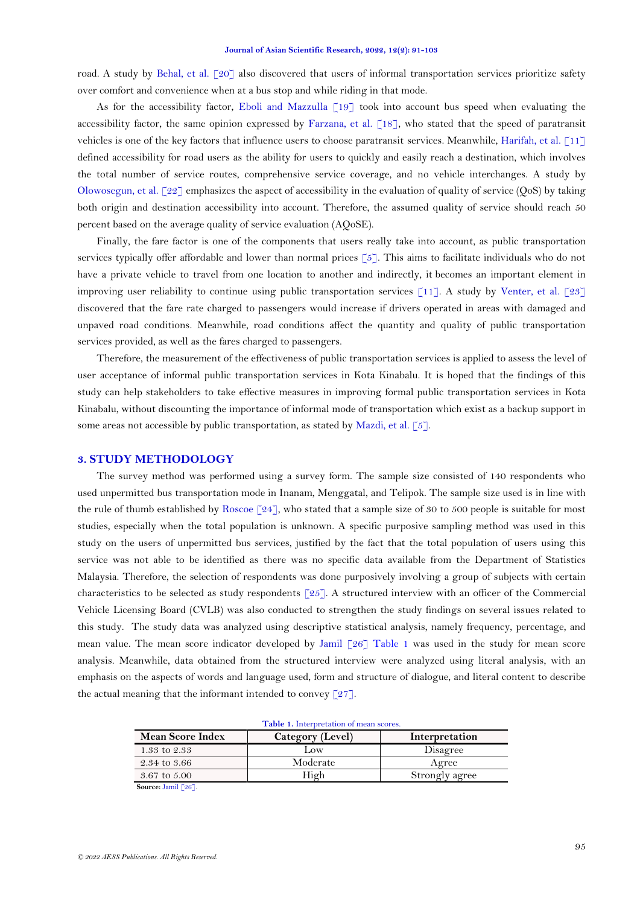road. A study by [Behal, et al. \[20\]](#page-12-0) also discovered that users of informal transportation services prioritize safety over comfort and convenience when at a bus stop and while riding in that mode.

As for the accessibility factor, Eboli and Mazzulla  $\lceil 19 \rceil$  took into account bus speed when evaluating the accessibility factor, the same opinion expressed by [Farzana, et al. \[18\]](#page-11-16), who stated that the speed of paratransit vehicles is one of the key factors that influence users to choose paratransit services. Meanwhile, [Harifah, et al. \[11\]](#page-11-9) defined accessibility for road users as the ability for users to quickly and easily reach a destination, which involves the total number of service routes, comprehensive service coverage, and no vehicle interchanges. A study by Olowosegun, et al.  $[22]$  emphasizes the aspect of accessibility in the evaluation of quality of service (QoS) by taking both origin and destination accessibility into account. Therefore, the assumed quality of service should reach 50 percent based on the average quality of service evaluation (AQoSE).

Finally, the fare factor is one of the components that users really take into account, as public transportation services typically offer affordable and lower than normal prices [\[5\]](#page-11-3). This aims to facilitate individuals who do not have a private vehicle to travel from one location to another and indirectly, it becomes an important element in improving user reliability to continue using public transportation services [\[11\]](#page-11-9). A study by [Venter, et al. \[23\]](#page-12-3) discovered that the fare rate charged to passengers would increase if drivers operated in areas with damaged and unpaved road conditions. Meanwhile, road conditions affect the quantity and quality of public transportation services provided, as well as the fares charged to passengers.

Therefore, the measurement of the effectiveness of public transportation services is applied to assess the level of user acceptance of informal public transportation services in Kota Kinabalu. It is hoped that the findings of this study can help stakeholders to take effective measures in improving formal public transportation services in Kota Kinabalu, without discounting the importance of informal mode of transportation which exist as a backup support in some areas not accessible by public transportation, as stated by [Mazdi, et al. \[5\]](#page-11-3).

### **3. STUDY METHODOLOGY**

The survey method was performed using a survey form. The sample size consisted of 140 respondents who used unpermitted bus transportation mode in Inanam, Menggatal, and Telipok. The sample size used is in line with the rule of thumb established by Roscoe  $\lceil 24 \rceil$ , who stated that a sample size of 30 to 500 people is suitable for most studies, especially when the total population is unknown. A specific purposive sampling method was used in this study on the users of unpermitted bus services, justified by the fact that the total population of users using this service was not able to be identified as there was no specific data available from the Department of Statistics Malaysia. Therefore, the selection of respondents was done purposively involving a group of subjects with certain characteristics to be selected as study respondents [\[25\]](#page-12-5). A structured interview with an officer of the Commercial Vehicle Licensing Board (CVLB) was also conducted to strengthen the study findings on several issues related to this study. The study data was analyzed using descriptive statistical analysis, namely frequency, percentage, and mean value. The mean score indicator developed by [Jamil \[26\]](#page-12-6) [Table 1](#page-4-0) was used in the study for mean score analysis. Meanwhile, data obtained from the structured interview were analyzed using literal analysis, with an emphasis on the aspects of words and language used, form and structure of dialogue, and literal content to describe the actual meaning that the informant intended to convey  $\lceil 27 \rceil$ .

<span id="page-4-0"></span>

| Table 1. Interpretation of mean scores. |                  |                |  |
|-----------------------------------------|------------------|----------------|--|
| <b>Mean Score Index</b>                 | Category (Level) | Interpretation |  |
| 1.33 to 2.33                            | Low              | Disagree       |  |
| 2.34 to 3.66                            | Moderate         | Agree          |  |
| 3.67 to 5.00                            | High             | Strongly agree |  |
| Source: Jamil [26].                     |                  |                |  |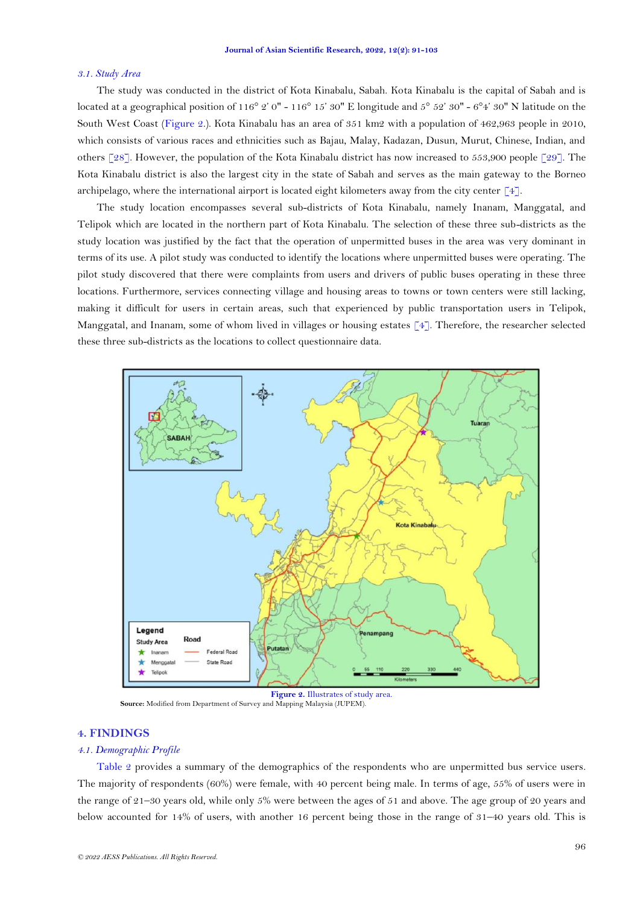## *3.1. Study Area*

The study was conducted in the district of Kota Kinabalu, Sabah. Kota Kinabalu is the capital of Sabah and is located at a geographical position of  $116^{\circ}$  2' 0" -  $116^{\circ}$  15' 30" E longitude and  $5^{\circ}$  52' 30" -  $6^{\circ}4'$  30" N latitude on the South West Coast [\(Figure 2.](#page-5-0)). Kota Kinabalu has an area of 351 km2 with a population of 462,963 people in 2010, which consists of various races and ethnicities such as Bajau, Malay, Kadazan, Dusun, Murut, Chinese, Indian, and others [\[28\]](#page-12-8). However, the population of the Kota Kinabalu district has now increased to 553,900 people [\[29\]](#page-12-9). The Kota Kinabalu district is also the largest city in the state of Sabah and serves as the main gateway to the Borneo archipelago, where the international airport is located eight kilometers away from the city center [\[4\]](#page-11-2).

The study location encompasses several sub-districts of Kota Kinabalu, namely Inanam, Manggatal, and Telipok which are located in the northern part of Kota Kinabalu. The selection of these three sub-districts as the study location was justified by the fact that the operation of unpermitted buses in the area was very dominant in terms of its use. A pilot study was conducted to identify the locations where unpermitted buses were operating. The pilot study discovered that there were complaints from users and drivers of public buses operating in these three locations. Furthermore, services connecting village and housing areas to towns or town centers were still lacking, making it difficult for users in certain areas, such that experienced by public transportation users in Telipok, Manggatal, and Inanam, some of whom lived in villages or housing estates  $\lceil 4 \rceil$ . Therefore, the researcher selected these three sub-districts as the locations to collect questionnaire data.



 **Source:** Modified from Department of Survey and Mapping Malaysia (JUPEM).

## <span id="page-5-0"></span>**4. FINDINGS**

## *4.1. Demographic Profile*

[Table 2](#page-6-0) provides a summary of the demographics of the respondents who are unpermitted bus service users. The majority of respondents (60%) were female, with 40 percent being male. In terms of age, 55% of users were in the range of 21–30 years old, while only 5% were between the ages of 51 and above. The age group of 20 years and below accounted for 14% of users, with another 16 percent being those in the range of 31–40 years old. This is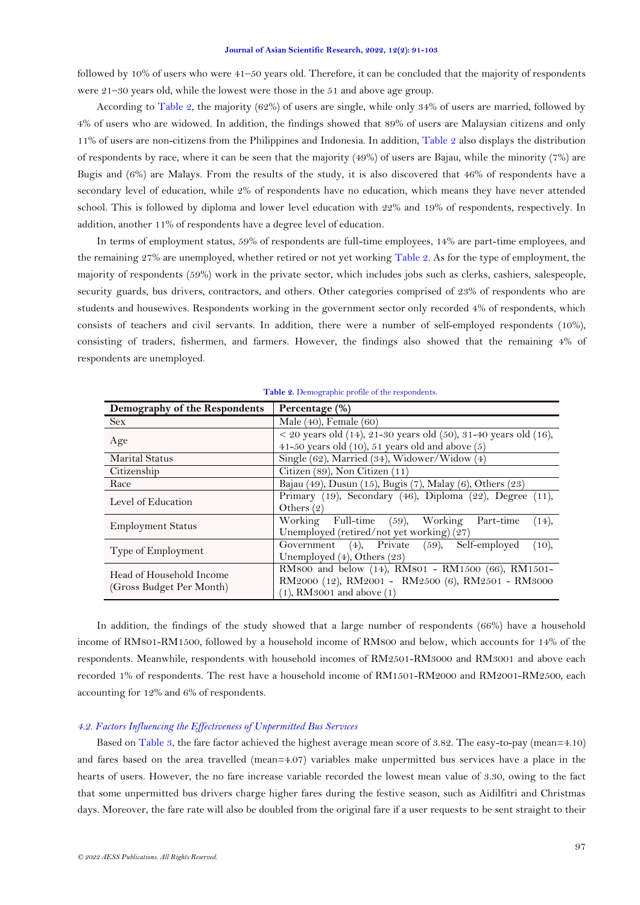followed by 10% of users who were 41–50 years old. Therefore, it can be concluded that the majority of respondents were 21–30 years old, while the lowest were those in the 51 and above age group.

According to [Table 2,](#page-6-0) the majority (62%) of users are single, while only 34% of users are married, followed by 4% of users who are widowed. In addition, the findings showed that 89% of users are Malaysian citizens and only 11% of users are non-citizens from the Philippines and Indonesia. In addition, [Table 2](#page-6-0) also displays the distribution of respondents by race, where it can be seen that the majority (49%) of users are Bajau, while the minority (7%) are Bugis and (6%) are Malays. From the results of the study, it is also discovered that 46% of respondents have a secondary level of education, while 2% of respondents have no education, which means they have never attended school. This is followed by diploma and lower level education with 22% and 19% of respondents, respectively. In addition, another 11% of respondents have a degree level of education.

In terms of employment status, 59% of respondents are full-time employees, 14% are part-time employees, and the remaining 27% are unemployed, whether retired or not yet working [Table 2.](#page-6-0) As for the type of employment, the majority of respondents (59%) work in the private sector, which includes jobs such as clerks, cashiers, salespeople, security guards, bus drivers, contractors, and others. Other categories comprised of 23% of respondents who are students and housewives. Respondents working in the government sector only recorded 4% of respondents, which consists of teachers and civil servants. In addition, there were a number of self-employed respondents (10%), consisting of traders, fishermen, and farmers. However, the findings also showed that the remaining 4% of respondents are unemployed.

<span id="page-6-0"></span>

| Demography of the Respondents                        | Percentage (%)                                                                                                                            |  |
|------------------------------------------------------|-------------------------------------------------------------------------------------------------------------------------------------------|--|
| <b>Sex</b>                                           | Male $(40)$ , Female $(60)$                                                                                                               |  |
| Age                                                  | $<$ 20 years old (14), 21-30 years old (50), 31-40 years old (16),<br>41-50 years old $(10)$ , 51 years old and above $(5)$               |  |
| <b>Marital Status</b>                                | Single (62), Married (34), Widower/Widow (4)                                                                                              |  |
| Citizenship                                          | Citizen (89), Non Citizen (11)                                                                                                            |  |
| Race                                                 | Bajau (49), Dusun (15), Bugis (7), Malay (6), Others (23)                                                                                 |  |
| Level of Education                                   | Primary (19), Secondary (46), Diploma (22), Degree (11),<br>Others $(2)$                                                                  |  |
| <b>Employment Status</b>                             | Working Full-time (59), Working Part-time<br>(14),<br>Unemployed (retired/not yet working) (27)                                           |  |
| Type of Employment                                   | Government (4), Private (59), Self-employed<br>(10),<br>Unemployed $(4)$ , Others $(23)$                                                  |  |
| Head of Household Income<br>(Gross Budget Per Month) | RM800 and below (14), RM801 - RM1500 (66), RM1501-<br>RM2000 (12), RM2001 - RM2500 (6), RM2501 - RM3000<br>$(1)$ , RM3001 and above $(1)$ |  |

**Table 2.** Demographic profile of the respondents.

In addition, the findings of the study showed that a large number of respondents (66%) have a household income of RM801-RM1500, followed by a household income of RM800 and below, which accounts for 14% of the respondents. Meanwhile, respondents with household incomes of RM2501-RM3000 and RM3001 and above each recorded 1% of respondents. The rest have a household income of RM1501-RM2000 and RM2001-RM2500, each accounting for 12% and 6% of respondents.

## *4.2. Factors Influencing the Effectiveness of Unpermitted Bus Services*

Based on [Table 3,](#page-8-0) the fare factor achieved the highest average mean score of 3.82. The easy-to-pay (mean=4.10) and fares based on the area travelled (mean=4.07) variables make unpermitted bus services have a place in the hearts of users. However, the no fare increase variable recorded the lowest mean value of 3.30, owing to the fact that some unpermitted bus drivers charge higher fares during the festive season, such as Aidilfitri and Christmas days. Moreover, the fare rate will also be doubled from the original fare if a user requests to be sent straight to their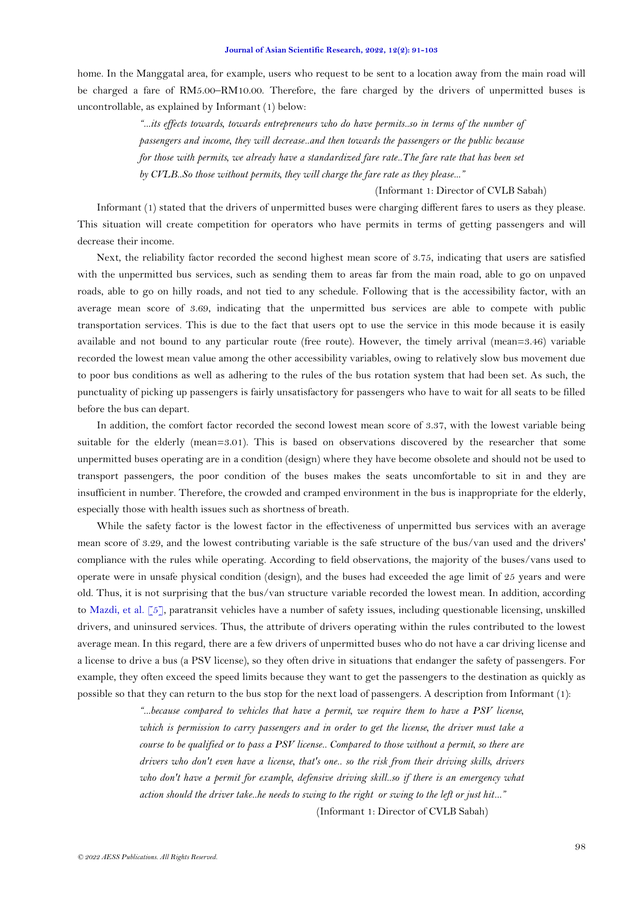home. In the Manggatal area, for example, users who request to be sent to a location away from the main road will be charged a fare of RM5.00–RM10.00. Therefore, the fare charged by the drivers of unpermitted buses is uncontrollable, as explained by Informant (1) below:

> *"...its effects towards, towards entrepreneurs who do have permits..so in terms of the number of passengers and income, they will decrease..and then towards the passengers or the public because for those with permits, we already have a standardized fare rate..The fare rate that has been set by CVLB..So those without permits, they will charge the fare rate as they please..."*

> > (Informant 1: Director of CVLB Sabah)

Informant (1) stated that the drivers of unpermitted buses were charging different fares to users as they please. This situation will create competition for operators who have permits in terms of getting passengers and will decrease their income.

Next, the reliability factor recorded the second highest mean score of 3.75, indicating that users are satisfied with the unpermitted bus services, such as sending them to areas far from the main road, able to go on unpaved roads, able to go on hilly roads, and not tied to any schedule. Following that is the accessibility factor, with an average mean score of 3.69, indicating that the unpermitted bus services are able to compete with public transportation services. This is due to the fact that users opt to use the service in this mode because it is easily available and not bound to any particular route (free route). However, the timely arrival (mean=3.46) variable recorded the lowest mean value among the other accessibility variables, owing to relatively slow bus movement due to poor bus conditions as well as adhering to the rules of the bus rotation system that had been set. As such, the punctuality of picking up passengers is fairly unsatisfactory for passengers who have to wait for all seats to be filled before the bus can depart.

In addition, the comfort factor recorded the second lowest mean score of 3.37, with the lowest variable being suitable for the elderly (mean=3.01). This is based on observations discovered by the researcher that some unpermitted buses operating are in a condition (design) where they have become obsolete and should not be used to transport passengers, the poor condition of the buses makes the seats uncomfortable to sit in and they are insufficient in number. Therefore, the crowded and cramped environment in the bus is inappropriate for the elderly, especially those with health issues such as shortness of breath.

While the safety factor is the lowest factor in the effectiveness of unpermitted bus services with an average mean score of 3.29, and the lowest contributing variable is the safe structure of the bus/van used and the drivers' compliance with the rules while operating. According to field observations, the majority of the buses/vans used to operate were in unsafe physical condition (design), and the buses had exceeded the age limit of 25 years and were old. Thus, it is not surprising that the bus/van structure variable recorded the lowest mean. In addition, according to [Mazdi, et al. \[5\]](#page-11-3), paratransit vehicles have a number of safety issues, including questionable licensing, unskilled drivers, and uninsured services. Thus, the attribute of drivers operating within the rules contributed to the lowest average mean. In this regard, there are a few drivers of unpermitted buses who do not have a car driving license and a license to drive a bus (a PSV license), so they often drive in situations that endanger the safety of passengers. For example, they often exceed the speed limits because they want to get the passengers to the destination as quickly as possible so that they can return to the bus stop for the next load of passengers. A description from Informant (1):

> *"...because compared to vehicles that have a permit, we require them to have a PSV license, which is permission to carry passengers and in order to get the license, the driver must take a course to be qualified or to pass a PSV license.. Compared to those without a permit, so there are drivers who don't even have a license, that's one.. so the risk from their driving skills, drivers who don't have a permit for example, defensive driving skill..so if there is an emergency what action should the driver take..he needs to swing to the right or swing to the left or just hit..."*

> > (Informant 1: Director of CVLB Sabah)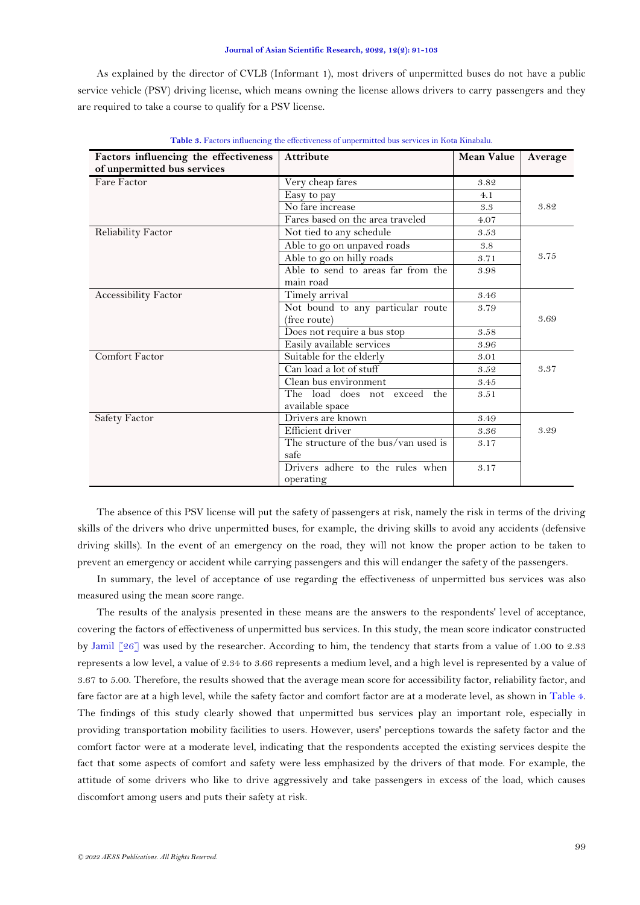As explained by the director of CVLB (Informant 1), most drivers of unpermitted buses do not have a public service vehicle (PSV) driving license, which means owning the license allows drivers to carry passengers and they are required to take a course to qualify for a PSV license.

<span id="page-8-0"></span>

| Factors influencing the effectiveness | <b>Attribute</b>                     | <b>Mean Value</b>  | Average |
|---------------------------------------|--------------------------------------|--------------------|---------|
| of unpermitted bus services           |                                      |                    |         |
| Fare Factor                           | Very cheap fares                     | 3.82               |         |
|                                       | Easy to pay                          | 4.1                |         |
|                                       | No fare increase                     | $\ensuremath{3.3}$ | 3.82    |
|                                       | Fares based on the area traveled     | 4.07               |         |
| <b>Reliability Factor</b>             | Not tied to any schedule             | 3.53               |         |
|                                       | Able to go on unpaved roads          | 3.8                |         |
|                                       | Able to go on hilly roads            | 3.71               | 3.75    |
|                                       | Able to send to areas far from the   | 3.98               |         |
|                                       | main road                            |                    |         |
| Accessibility Factor                  | Timely arrival                       | 3.46               |         |
|                                       | Not bound to any particular route    | 3.79               |         |
|                                       | (free route)                         |                    | 3.69    |
|                                       | Does not require a bus stop          | 3.58               |         |
|                                       | Easily available services            | 3.96               |         |
| Comfort Factor                        | Suitable for the elderly             | 3.01               |         |
|                                       | Can load a lot of stuff              | 3.52               | 3.37    |
|                                       | Clean bus environment                | 3.45               |         |
|                                       | The load does not exceed the         | 3.51               |         |
|                                       | available space                      |                    |         |
| Safety Factor                         | Drivers are known                    | 3.49               |         |
|                                       | Efficient driver                     | 3.36               | 3.29    |
|                                       | The structure of the bus/van used is | 3.17               |         |
|                                       | safe                                 |                    |         |
|                                       | Drivers adhere to the rules when     | 3.17               |         |
|                                       | operating                            |                    |         |

**Table 3.** Factors influencing the effectiveness of unpermitted bus services in Kota Kinabalu.

The absence of this PSV license will put the safety of passengers at risk, namely the risk in terms of the driving skills of the drivers who drive unpermitted buses, for example, the driving skills to avoid any accidents (defensive driving skills). In the event of an emergency on the road, they will not know the proper action to be taken to prevent an emergency or accident while carrying passengers and this will endanger the safety of the passengers.

In summary, the level of acceptance of use regarding the effectiveness of unpermitted bus services was also measured using the mean score range.

<span id="page-8-1"></span>The results of the analysis presented in these means are the answers to the respondents' level of acceptance, covering the factors of effectiveness of unpermitted bus services. In this study, the mean score indicator constructed by [Jamil \[26\]](#page-12-6) was used by the researcher. According to him, the tendency that starts from a value of 1.00 to 2.33 represents a low level, a value of 2.34 to 3.66 represents a medium level, and a high level is represented by a value of 3.67 to 5.00. Therefore, the results showed that the average mean score for accessibility factor, reliability factor, and fare factor are at a high level, while the safety factor and comfort factor are at a moderate level, as shown in [Table 4.](#page-8-1) The findings of this study clearly showed that unpermitted bus services play an important role, especially in providing transportation mobility facilities to users. However, users' perceptions towards the safety factor and the comfort factor were at a moderate level, indicating that the respondents accepted the existing services despite the fact that some aspects of comfort and safety were less emphasized by the drivers of that mode. For example, the attitude of some drivers who like to drive aggressively and take passengers in excess of the load, which causes discomfort among users and puts their safety at risk.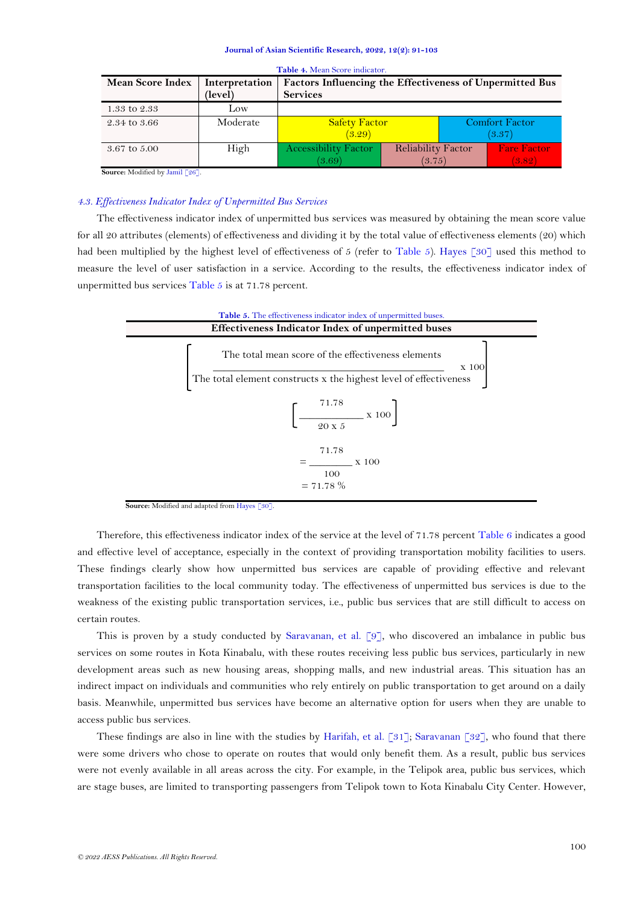| <b>Mean Score Index</b> | Interpretation | Factors Influencing the Effectiveness of Unpermitted Bus |                           |                       |
|-------------------------|----------------|----------------------------------------------------------|---------------------------|-----------------------|
|                         | (level)        | <b>Services</b>                                          |                           |                       |
| 1.33 to 2.33            | Low            |                                                          |                           |                       |
| 2.34 to 3.66            | Moderate       | <b>Safety Factor</b>                                     |                           | <b>Comfort Factor</b> |
|                         |                | (3.29)                                                   |                           | (3.37)                |
| 3.67 to 5.00            | High           | <b>Accessibility Factor</b>                              | <b>Reliability Factor</b> | <b>Fare Factor</b>    |
|                         |                | (3.69)                                                   | (3.75)                    | (3.82)                |

**Table 4.** Mean Score indicator.

**Source:** Modified b[y Jamil \[26\]](#page-12-6).

## *4.3. Effectiveness Indicator Index of Unpermitted Bus Services*

The effectiveness indicator index of unpermitted bus services was measured by obtaining the mean score value for all 20 attributes (elements) of effectiveness and dividing it by the total value of effectiveness elements (20) which had been multiplied by the highest level of effectiveness of 5 (refer to [Table 5\)](#page-9-0). [Hayes \[30\]](#page-12-10) used this method to measure the level of user satisfaction in a service. According to the results, the effectiveness indicator index of unpermitted bus services [Table 5](#page-9-0) is at 71.78 percent.

<span id="page-9-0"></span>

**Source:** Modified and adapted fro[m Hayes \[30\]](#page-12-10).

Therefore, this effectiveness indicator index of the service at the level of 71.78 percent [Table 6](#page-10-1) indicates a good and effective level of acceptance, especially in the context of providing transportation mobility facilities to users. These findings clearly show how unpermitted bus services are capable of providing effective and relevant transportation facilities to the local community today. The effectiveness of unpermitted bus services is due to the weakness of the existing public transportation services, i.e., public bus services that are still difficult to access on certain routes.

This is proven by a study conducted by [Saravanan, et al. \[9\]](#page-11-7), who discovered an imbalance in public bus services on some routes in Kota Kinabalu, with these routes receiving less public bus services, particularly in new development areas such as new housing areas, shopping malls, and new industrial areas. This situation has an indirect impact on individuals and communities who rely entirely on public transportation to get around on a daily basis. Meanwhile, unpermitted bus services have become an alternative option for users when they are unable to access public bus services.

These findings are also in line with the studies by [Harifah, et al. \[31\]](#page-12-11); [Saravanan \[32\]](#page-12-12), who found that there were some drivers who chose to operate on routes that would only benefit them. As a result, public bus services were not evenly available in all areas across the city. For example, in the Telipok area, public bus services, which are stage buses, are limited to transporting passengers from Telipok town to Kota Kinabalu City Center. However,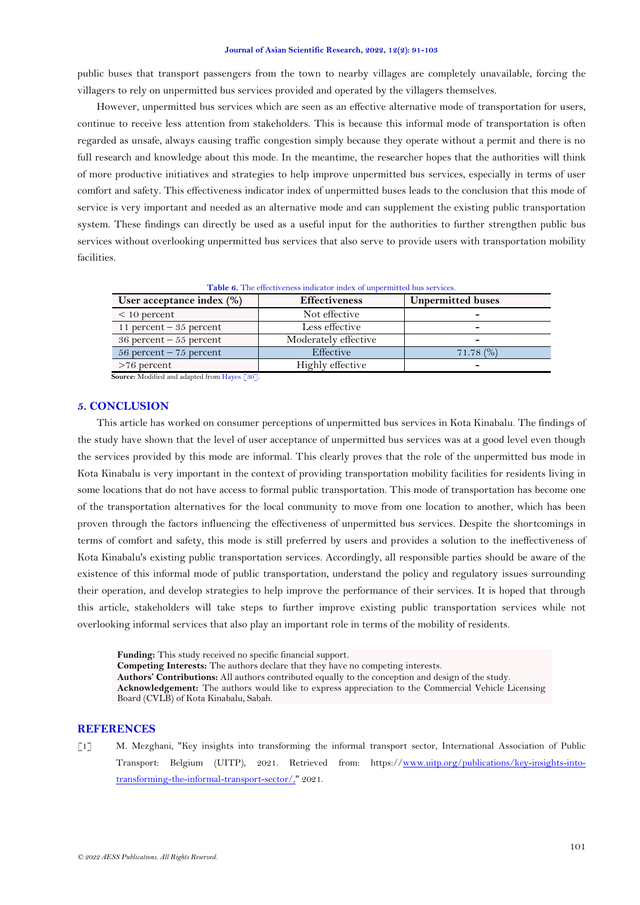public buses that transport passengers from the town to nearby villages are completely unavailable, forcing the villagers to rely on unpermitted bus services provided and operated by the villagers themselves.

However, unpermitted bus services which are seen as an effective alternative mode of transportation for users, continue to receive less attention from stakeholders. This is because this informal mode of transportation is often regarded as unsafe, always causing traffic congestion simply because they operate without a permit and there is no full research and knowledge about this mode. In the meantime, the researcher hopes that the authorities will think of more productive initiatives and strategies to help improve unpermitted bus services, especially in terms of user comfort and safety. This effectiveness indicator index of unpermitted buses leads to the conclusion that this mode of service is very important and needed as an alternative mode and can supplement the existing public transportation system. These findings can directly be used as a useful input for the authorities to further strengthen public bus services without overlooking unpermitted bus services that also serve to provide users with transportation mobility facilities.

Table 6. The effectiveness indicator index of unpermitted bus services.

<span id="page-10-1"></span>

| User acceptance index $(\%)$ | <b>Effectiveness</b> | <b>Unpermitted buses</b> |
|------------------------------|----------------------|--------------------------|
| $< 10$ percent               | Not effective        |                          |
| 11 percent $-35$ percent     | Less effective       | -                        |
| $36$ percent $-55$ percent   | Moderately effective | -                        |
| 56 percent $-75$ percent     | Effective            | $71.78\ (%)$             |
| $>76$ percent                | Highly effective     |                          |

**Source:** Modified and adapted fro[m Hayes \[30\]](#page-12-10).

### **5. CONCLUSION**

This article has worked on consumer perceptions of unpermitted bus services in Kota Kinabalu. The findings of the study have shown that the level of user acceptance of unpermitted bus services was at a good level even though the services provided by this mode are informal. This clearly proves that the role of the unpermitted bus mode in Kota Kinabalu is very important in the context of providing transportation mobility facilities for residents living in some locations that do not have access to formal public transportation. This mode of transportation has become one of the transportation alternatives for the local community to move from one location to another, which has been proven through the factors influencing the effectiveness of unpermitted bus services. Despite the shortcomings in terms of comfort and safety, this mode is still preferred by users and provides a solution to the ineffectiveness of Kota Kinabalu's existing public transportation services. Accordingly, all responsible parties should be aware of the existence of this informal mode of public transportation, understand the policy and regulatory issues surrounding their operation, and develop strategies to help improve the performance of their services. It is hoped that through this article, stakeholders will take steps to further improve existing public transportation services while not overlooking informal services that also play an important role in terms of the mobility of residents.

**Funding:** This study received no specific financial support. **Competing Interests:** The authors declare that they have no competing interests. **Authors' Contributions:** All authors contributed equally to the conception and design of the study. **Acknowledgement:** The authors would like to express appreciation to the Commercial Vehicle Licensing Board (CVLB) of Kota Kinabalu, Sabah.

## **REFERENCES**

<span id="page-10-0"></span>[1] M. Mezghani, "Key insights into transforming the informal transport sector, International Association of Public Transport: Belgium (UITP), 2021. Retrieved from: https:/[/www.uitp.org/publications/key-insights-into](http://www.uitp.org/publications/key-insights-into-transforming-the-informal-transport-sector/,)[transforming-the-informal-transport-sector/,"](http://www.uitp.org/publications/key-insights-into-transforming-the-informal-transport-sector/,) 2021.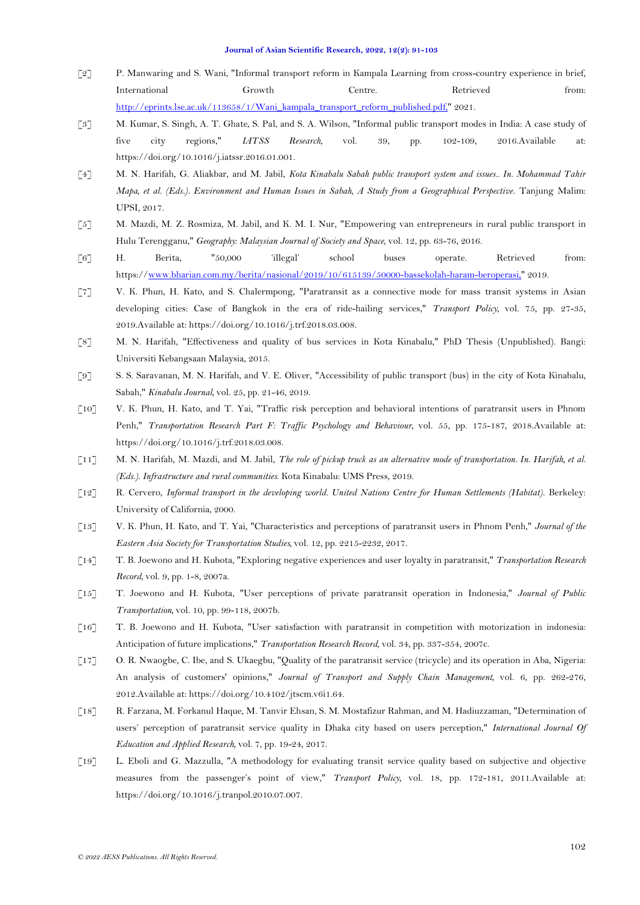- <span id="page-11-0"></span>[2] P. Manwaring and S. Wani, "Informal transport reform in Kampala Learning from cross-country experience in brief, International Growth Centre. Retrieved from: [http://eprints.lse.ac.uk/113658/1/Wani\\_kampala\\_transport\\_reform\\_published.pdf,"](http://eprints.lse.ac.uk/113658/1/Wani_kampala_transport_reform_published.pdf,) 2021.
- <span id="page-11-1"></span>[3] M. Kumar, S. Singh, A. T. Ghate, S. Pal, and S. A. Wilson, "Informal public transport modes in India: A case study of five city regions," *IATSS Research,* vol. 39, pp. 102-109, 2016.Available at: https://doi.org/10.1016/j.iatssr.2016.01.001.
- <span id="page-11-2"></span>[4] M. N. Harifah, G. Aliakbar, and M. Jabil, *Kota Kinabalu Sabah public transport system and issues.. In. Mohammad Tahir Mapa, et al. (Eds.). Environment and Human Issues in Sabah, A Study from a Geographical Perspective*. Tanjung Malim: UPSI, 2017.
- <span id="page-11-3"></span>[5] M. Mazdi, M. Z. Rosmiza, M. Jabil, and K. M. I. Nur, "Empowering van entrepreneurs in rural public transport in Hulu Terengganu," *Geography: Malaysian Journal of Society and Space,* vol. 12, pp. 63-76, 2016.
- <span id="page-11-4"></span>[6] H. Berita, "50,000 'illegal' school buses operate. Retrieved from: https:/[/www.bharian.com.my/berita/nasional/2019/10/615139/50000-bassekolah-haram-beroperasi,"](http://www.bharian.com.my/berita/nasional/2019/10/615139/50000-bassekolah-haram-beroperasi,) 2019.
- <span id="page-11-5"></span>[7] V. K. Phun, H. Kato, and S. Chalermpong, "Paratransit as a connective mode for mass transit systems in Asian developing cities: Case of Bangkok in the era of ride-hailing services," *Transport Policy,* vol. 75, pp. 27-35, 2019.Available at: https://doi.org/10.1016/j.trf.2018.03.008.
- <span id="page-11-6"></span>[8] M. N. Harifah, "Effectiveness and quality of bus services in Kota Kinabalu," PhD Thesis (Unpublished). Bangi: Universiti Kebangsaan Malaysia, 2015.
- <span id="page-11-7"></span>[9] S. S. Saravanan, M. N. Harifah, and V. E. Oliver, "Accessibility of public transport (bus) in the city of Kota Kinabalu, Sabah," *Kinabalu Journal,* vol. 25, pp. 21-46, 2019.
- <span id="page-11-8"></span>[10] V. K. Phun, H. Kato, and T. Yai, "Traffic risk perception and behavioral intentions of paratransit users in Phnom Penh," *Transportation Research Part F: Traffic Psychology and Behaviour,* vol. 55, pp. 175-187, 2018.Available at: https://doi.org/10.1016/j.trf.2018.03.008.
- <span id="page-11-9"></span>[11] M. N. Harifah, M. Mazdi, and M. Jabil, *The role of pickup truck as an alternative mode of transportation. In. Harifah, et al. (Eds.). Infrastructure and rural communities*. Kota Kinabalu: UMS Press, 2019.
- <span id="page-11-10"></span>[12] R. Cervero, *Informal transport in the developing world. United Nations Centre for Human Settlements (Habitat)*. Berkeley: University of California, 2000.
- <span id="page-11-11"></span>[13] V. K. Phun, H. Kato, and T. Yai, "Characteristics and perceptions of paratransit users in Phnom Penh," *Journal of the Eastern Asia Society for Transportation Studies,* vol. 12, pp. 2215-2232, 2017.
- <span id="page-11-12"></span>[14] T. B. Joewono and H. Kubota, "Exploring negative experiences and user loyalty in paratransit," *Transportation Research Record,* vol. 9, pp. 1-8, 2007a.
- <span id="page-11-13"></span>[15] T. Joewono and H. Kubota, "User perceptions of private paratransit operation in Indonesia," *Journal of Public Transportation,* vol. 10, pp. 99-118, 2007b.
- <span id="page-11-14"></span>[16] T. B. Joewono and H. Kubota, "User satisfaction with paratransit in competition with motorization in indonesia: Anticipation of future implications," *Transportation Research Record,* vol. 34, pp. 337-354, 2007c.
- <span id="page-11-15"></span>[17] O. R. Nwaogbe, C. Ibe, and S. Ukaegbu, "Quality of the paratransit service (tricycle) and its operation in Aba, Nigeria: An analysis of customers' opinions," *Journal of Transport and Supply Chain Management,* vol. 6, pp. 262-276, 2012.Available at: https://doi.org/10.4102/jtscm.v6i1.64.
- <span id="page-11-16"></span>[18] R. Farzana, M. Forkanul Haque, M. Tanvir Ehsan, S. M. Mostafizur Rahman, and M. Hadiuzzaman, "Determination of users' perception of paratransit service quality in Dhaka city based on users perception," *International Journal Of Education and Applied Research,* vol. 7, pp. 19-24, 2017.
- <span id="page-11-17"></span>[19] L. Eboli and G. Mazzulla, "A methodology for evaluating transit service quality based on subjective and objective measures from the passenger's point of view," *Transport Policy,* vol. 18, pp. 172-181, 2011.Available at: https://doi.org/10.1016/j.tranpol.2010.07.007.